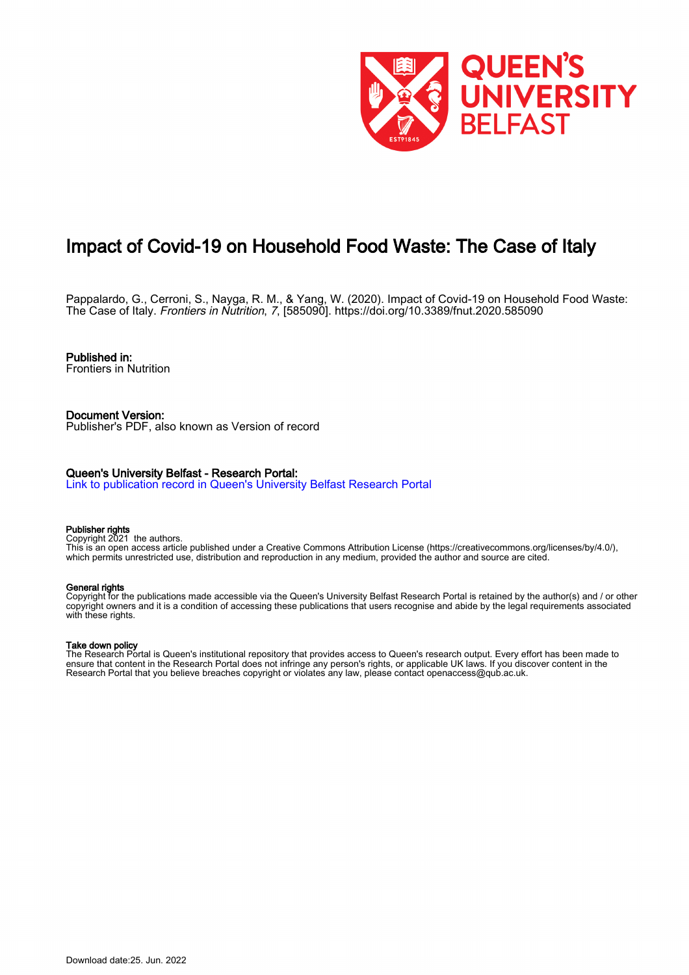

# Impact of Covid-19 on Household Food Waste: The Case of Italy

Pappalardo, G., Cerroni, S., Nayga, R. M., & Yang, W. (2020). Impact of Covid-19 on Household Food Waste: The Case of Italy. Frontiers in Nutrition, 7, [585090].<https://doi.org/10.3389/fnut.2020.585090>

## Published in:

Frontiers in Nutrition

#### Document Version: Publisher's PDF, also known as Version of record

#### Queen's University Belfast - Research Portal:

[Link to publication record in Queen's University Belfast Research Portal](https://pure.qub.ac.uk/en/publications/779f01a8-5602-4fb0-b269-678fc48b2b7e)

#### Publisher rights

Copyright 2021 the authors.

This is an open access article published under a Creative Commons Attribution License (https://creativecommons.org/licenses/by/4.0/), which permits unrestricted use, distribution and reproduction in any medium, provided the author and source are cited.

#### General rights

Copyright for the publications made accessible via the Queen's University Belfast Research Portal is retained by the author(s) and / or other copyright owners and it is a condition of accessing these publications that users recognise and abide by the legal requirements associated with these rights.

#### Take down policy

The Research Portal is Queen's institutional repository that provides access to Queen's research output. Every effort has been made to ensure that content in the Research Portal does not infringe any person's rights, or applicable UK laws. If you discover content in the Research Portal that you believe breaches copyright or violates any law, please contact openaccess@qub.ac.uk.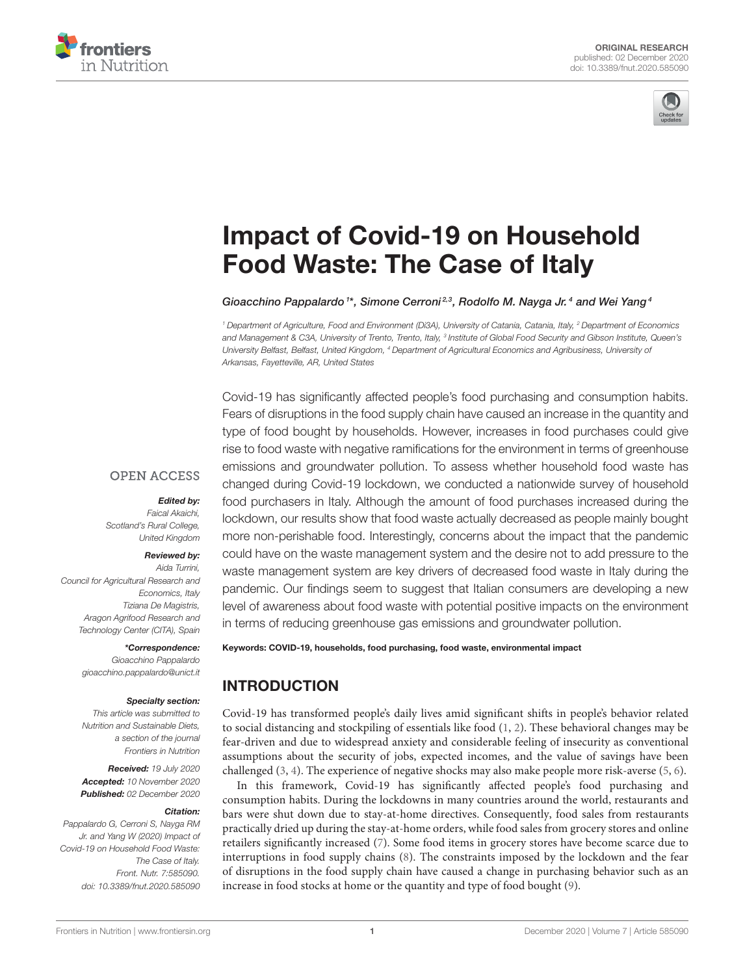



# [Impact of Covid-19 on Household](https://www.frontiersin.org/articles/10.3389/fnut.2020.585090/full) Food Waste: The Case of Italy

Gioacchino Pappalardo 1\*, Simone Cerroni<sup>2,3</sup>, Rodolfo M. Nayga Jr.<sup>4</sup> and Wei Yang<sup>4</sup>

*<sup>1</sup> Department of Agriculture, Food and Environment (Di3A), University of Catania, Catania, Italy, <sup>2</sup> Department of Economics* and Management & C3A, University of Trento, Trento, Italy, <sup>3</sup> Institute of Global Food Security and Gibson Institute, Queen's *University Belfast, Belfast, United Kingdom, <sup>4</sup> Department of Agricultural Economics and Agribusiness, University of Arkansas, Fayetteville, AR, United States*

Covid-19 has significantly affected people's food purchasing and consumption habits. Fears of disruptions in the food supply chain have caused an increase in the quantity and type of food bought by households. However, increases in food purchases could give rise to food waste with negative ramifications for the environment in terms of greenhouse emissions and groundwater pollution. To assess whether household food waste has changed during Covid-19 lockdown, we conducted a nationwide survey of household food purchasers in Italy. Although the amount of food purchases increased during the lockdown, our results show that food waste actually decreased as people mainly bought more non-perishable food. Interestingly, concerns about the impact that the pandemic could have on the waste management system and the desire not to add pressure to the waste management system are key drivers of decreased food waste in Italy during the pandemic. Our findings seem to suggest that Italian consumers are developing a new level of awareness about food waste with potential positive impacts on the environment in terms of reducing greenhouse gas emissions and groundwater pollution.

#### Keywords: COVID-19, households, food purchasing, food waste, environmental impact

### INTRODUCTION

Covid-19 has transformed people's daily lives amid significant shifts in people's behavior related to social distancing and stockpiling of essentials like food [\(1,](#page-9-0) [2\)](#page-9-1). These behavioral changes may be fear-driven and due to widespread anxiety and considerable feeling of insecurity as conventional assumptions about the security of jobs, expected incomes, and the value of savings have been challenged [\(3,](#page-9-2) [4\)](#page-9-3). The experience of negative shocks may also make people more risk-averse [\(5,](#page-9-4) [6\)](#page-9-5).

In this framework, Covid-19 has significantly affected people's food purchasing and consumption habits. During the lockdowns in many countries around the world, restaurants and bars were shut down due to stay-at-home directives. Consequently, food sales from restaurants practically dried up during the stay-at-home orders, while food sales from grocery stores and online retailers significantly increased [\(7\)](#page-9-6). Some food items in grocery stores have become scarce due to interruptions in food supply chains [\(8\)](#page-9-7). The constraints imposed by the lockdown and the fear of disruptions in the food supply chain have caused a change in purchasing behavior such as an increase in food stocks at home or the quantity and type of food bought [\(9\)](#page-9-8).

### **OPEN ACCESS**

#### Edited by:

*Faical Akaichi, Scotland's Rural College, United Kingdom*

#### Reviewed by:

*Aida Turrini, Council for Agricultural Research and Economics, Italy Tiziana De Magistris, Aragon Agrifood Research and Technology Center (CITA), Spain*

### \*Correspondence:

*Gioacchino Pappalardo [gioacchino.pappalardo@unict.it](mailto:gioacchino.pappalardo@unict.it)*

#### Specialty section:

*This article was submitted to Nutrition and Sustainable Diets, a section of the journal Frontiers in Nutrition*

Received: *19 July 2020* Accepted: *10 November 2020* Published: *02 December 2020*

#### Citation:

*Pappalardo G, Cerroni S, Nayga RM Jr. and Yang W (2020) Impact of Covid-19 on Household Food Waste: The Case of Italy. Front. Nutr. 7:585090. doi: [10.3389/fnut.2020.585090](https://doi.org/10.3389/fnut.2020.585090)*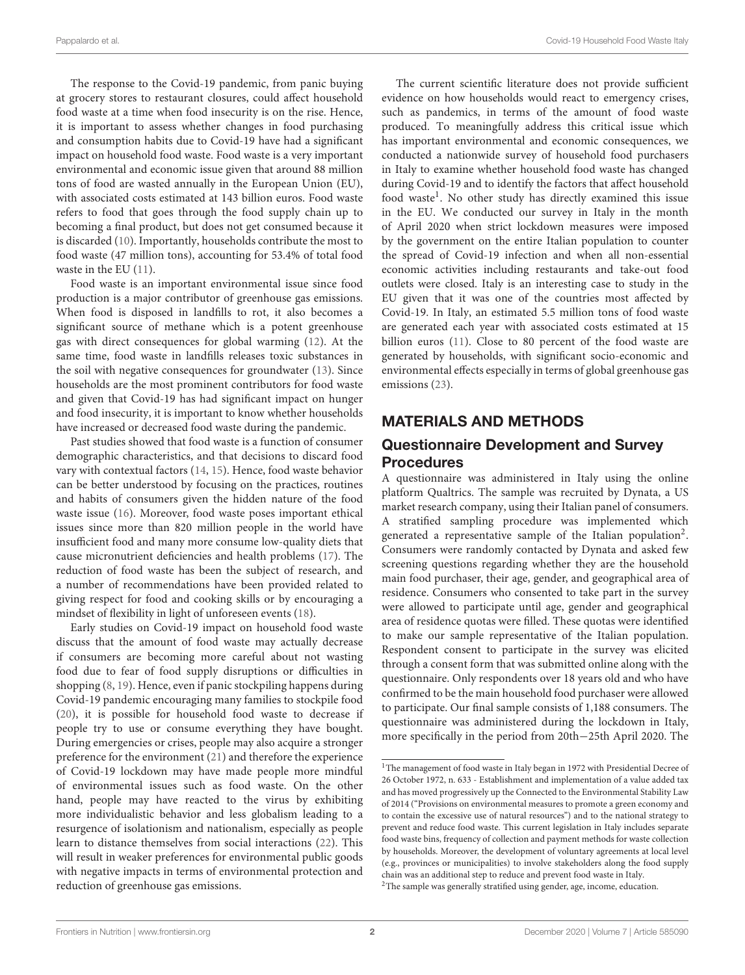The response to the Covid-19 pandemic, from panic buying at grocery stores to restaurant closures, could affect household food waste at a time when food insecurity is on the rise. Hence, it is important to assess whether changes in food purchasing and consumption habits due to Covid-19 have had a significant impact on household food waste. Food waste is a very important environmental and economic issue given that around 88 million tons of food are wasted annually in the European Union (EU), with associated costs estimated at 143 billion euros. Food waste refers to food that goes through the food supply chain up to becoming a final product, but does not get consumed because it is discarded [\(10\)](#page-9-9). Importantly, households contribute the most to food waste (47 million tons), accounting for 53.4% of total food waste in the EU [\(11\)](#page-9-10).

Food waste is an important environmental issue since food production is a major contributor of greenhouse gas emissions. When food is disposed in landfills to rot, it also becomes a significant source of methane which is a potent greenhouse gas with direct consequences for global warming [\(12\)](#page-9-11). At the same time, food waste in landfills releases toxic substances in the soil with negative consequences for groundwater [\(13\)](#page-9-12). Since households are the most prominent contributors for food waste and given that Covid-19 has had significant impact on hunger and food insecurity, it is important to know whether households have increased or decreased food waste during the pandemic.

Past studies showed that food waste is a function of consumer demographic characteristics, and that decisions to discard food vary with contextual factors [\(14,](#page-9-13) [15\)](#page-9-14). Hence, food waste behavior can be better understood by focusing on the practices, routines and habits of consumers given the hidden nature of the food waste issue [\(16\)](#page-9-15). Moreover, food waste poses important ethical issues since more than 820 million people in the world have insufficient food and many more consume low-quality diets that cause micronutrient deficiencies and health problems [\(17\)](#page-9-16). The reduction of food waste has been the subject of research, and a number of recommendations have been provided related to giving respect for food and cooking skills or by encouraging a mindset of flexibility in light of unforeseen events [\(18\)](#page-9-17).

Early studies on Covid-19 impact on household food waste discuss that the amount of food waste may actually decrease if consumers are becoming more careful about not wasting food due to fear of food supply disruptions or difficulties in shopping [\(8,](#page-9-7) [19\)](#page-9-18). Hence, even if panic stockpiling happens during Covid-19 pandemic encouraging many families to stockpile food [\(20\)](#page-9-19), it is possible for household food waste to decrease if people try to use or consume everything they have bought. During emergencies or crises, people may also acquire a stronger preference for the environment [\(21\)](#page-9-20) and therefore the experience of Covid-19 lockdown may have made people more mindful of environmental issues such as food waste. On the other hand, people may have reacted to the virus by exhibiting more individualistic behavior and less globalism leading to a resurgence of isolationism and nationalism, especially as people learn to distance themselves from social interactions [\(22\)](#page-9-21). This will result in weaker preferences for environmental public goods with negative impacts in terms of environmental protection and reduction of greenhouse gas emissions.

The current scientific literature does not provide sufficient evidence on how households would react to emergency crises, such as pandemics, in terms of the amount of food waste produced. To meaningfully address this critical issue which has important environmental and economic consequences, we conducted a nationwide survey of household food purchasers in Italy to examine whether household food waste has changed during Covid-19 and to identify the factors that affect household food waste<sup>[1](#page-2-0)</sup>. No other study has directly examined this issue in the EU. We conducted our survey in Italy in the month of April 2020 when strict lockdown measures were imposed by the government on the entire Italian population to counter the spread of Covid-19 infection and when all non-essential economic activities including restaurants and take-out food outlets were closed. Italy is an interesting case to study in the EU given that it was one of the countries most affected by Covid-19. In Italy, an estimated 5.5 million tons of food waste are generated each year with associated costs estimated at 15 billion euros [\(11\)](#page-9-10). Close to 80 percent of the food waste are generated by households, with significant socio-economic and environmental effects especially in terms of global greenhouse gas emissions [\(23\)](#page-9-22).

### MATERIALS AND METHODS

### Questionnaire Development and Survey Procedures

A questionnaire was administered in Italy using the online platform Qualtrics. The sample was recruited by Dynata, a US market research company, using their Italian panel of consumers. A stratified sampling procedure was implemented which generated a representative sample of the Italian population<sup>[2](#page-2-1)</sup>. Consumers were randomly contacted by Dynata and asked few screening questions regarding whether they are the household main food purchaser, their age, gender, and geographical area of residence. Consumers who consented to take part in the survey were allowed to participate until age, gender and geographical area of residence quotas were filled. These quotas were identified to make our sample representative of the Italian population. Respondent consent to participate in the survey was elicited through a consent form that was submitted online along with the questionnaire. Only respondents over 18 years old and who have confirmed to be the main household food purchaser were allowed to participate. Our final sample consists of 1,188 consumers. The questionnaire was administered during the lockdown in Italy, more specifically in the period from 20th−25th April 2020. The

<span id="page-2-0"></span> $^{\rm 1}$  The management of food waste in Italy began in 1972 with Presidential Decree of 26 October 1972, n. 633 - Establishment and implementation of a value added tax and has moved progressively up the Connected to the Environmental Stability Law of 2014 ("Provisions on environmental measures to promote a green economy and to contain the excessive use of natural resources") and to the national strategy to prevent and reduce food waste. This current legislation in Italy includes separate food waste bins, frequency of collection and payment methods for waste collection by households. Moreover, the development of voluntary agreements at local level (e.g., provinces or municipalities) to involve stakeholders along the food supply chain was an additional step to reduce and prevent food waste in Italy.

<span id="page-2-1"></span><sup>&</sup>lt;sup>2</sup>The sample was generally stratified using gender, age, income, education.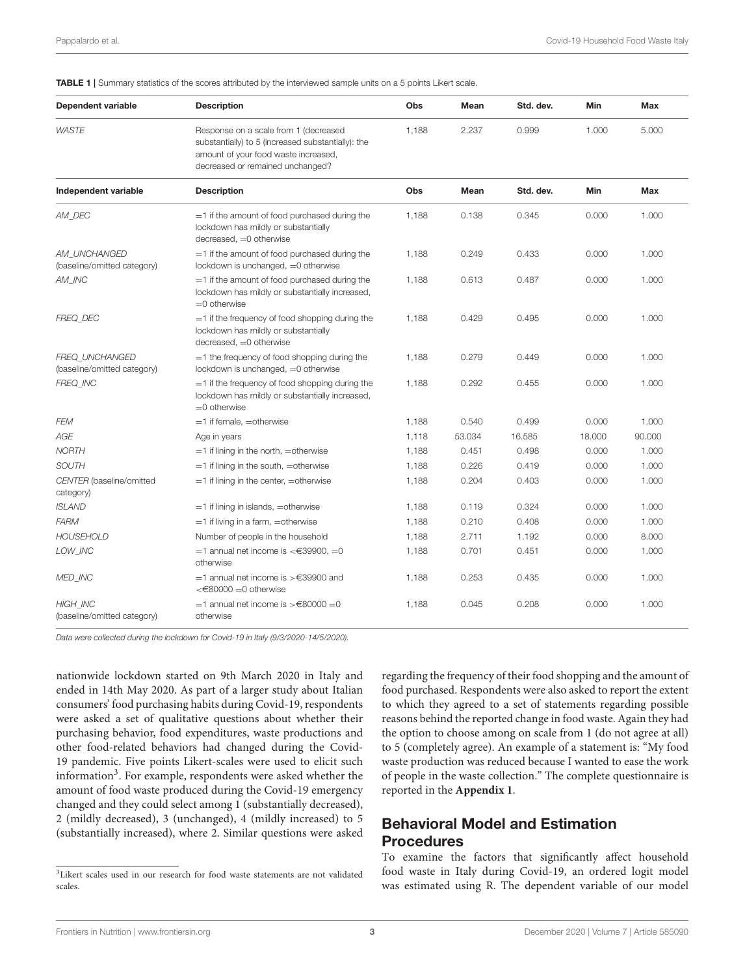<span id="page-3-1"></span>TABLE 1 | Summary statistics of the scores attributed by the interviewed sample units on a 5 points Likert scale.

| Dependent variable                             | <b>Description</b>                                                                                                                                                      | Obs   | Mean   | Std. dev. | Min    | Max    |
|------------------------------------------------|-------------------------------------------------------------------------------------------------------------------------------------------------------------------------|-------|--------|-----------|--------|--------|
| <b>WASTE</b>                                   | Response on a scale from 1 (decreased<br>substantially) to 5 (increased substantially): the<br>amount of your food waste increased,<br>decreased or remained unchanged? | 1.188 | 2.237  | 0.999     | 1.000  | 5.000  |
| Independent variable                           | <b>Description</b>                                                                                                                                                      | Obs   | Mean   | Std. dev. | Min    | Max    |
| AM_DEC                                         | $=$ 1 if the amount of food purchased during the<br>lockdown has mildly or substantially<br>decreased, =0 otherwise                                                     | 1,188 | 0.138  | 0.345     | 0.000  | 1.000  |
| AM UNCHANGED<br>(baseline/omitted category)    | $=$ 1 if the amount of food purchased during the<br>lockdown is unchanged, =0 otherwise                                                                                 | 1,188 | 0.249  | 0.433     | 0.000  | 1.000  |
| AM INC                                         | $=$ 1 if the amount of food purchased during the<br>lockdown has mildly or substantially increased,<br>$=$ 0 otherwise                                                  | 1,188 | 0.613  | 0.487     | 0.000  | 1.000  |
| FREQ DEC                                       | $=$ 1 if the frequency of food shopping during the<br>lockdown has mildly or substantially<br>$decreased, =0$ otherwise                                                 | 1,188 | 0.429  | 0.495     | 0.000  | 1.000  |
| FREQ UNCHANGED<br>(baseline/omitted category)  | $=$ 1 the frequency of food shopping during the<br>lockdown is unchanged, =0 otherwise                                                                                  | 1,188 | 0.279  | 0.449     | 0.000  | 1.000  |
| FREQ_INC                                       | $=$ 1 if the frequency of food shopping during the<br>lockdown has mildly or substantially increased,<br>$=0$ otherwise                                                 | 1,188 | 0.292  | 0.455     | 0.000  | 1.000  |
| <b>FEM</b>                                     | $=$ 1 if female. $=$ otherwise                                                                                                                                          | 1.188 | 0.540  | 0.499     | 0.000  | 1.000  |
| AGE                                            | Age in years                                                                                                                                                            | 1,118 | 53.034 | 16.585    | 18.000 | 90.000 |
| <b>NORTH</b>                                   | $=$ 1 if lining in the north, $=$ otherwise                                                                                                                             | 1,188 | 0.451  | 0.498     | 0.000  | 1.000  |
| <b>SOUTH</b>                                   | $=$ 1 if lining in the south, $=$ otherwise                                                                                                                             | 1,188 | 0.226  | 0.419     | 0.000  | 1.000  |
| CENTER (baseline/omitted<br>category)          | $=$ 1 if lining in the center, $=$ otherwise                                                                                                                            | 1,188 | 0.204  | 0.403     | 0.000  | 1.000  |
| <b>ISLAND</b>                                  | $=$ 1 if lining in islands, $=$ otherwise                                                                                                                               | 1,188 | 0.119  | 0.324     | 0.000  | 1.000  |
| <b>FARM</b>                                    | $=$ 1 if living in a farm, $=$ otherwise                                                                                                                                | 1.188 | 0.210  | 0.408     | 0.000  | 1.000  |
| <b>HOUSEHOLD</b>                               | Number of people in the household                                                                                                                                       | 1,188 | 2.711  | 1.192     | 0.000  | 8.000  |
| LOW INC                                        | $=$ 1 annual net income is <€39900, $=$ 0<br>otherwise                                                                                                                  | 1,188 | 0.701  | 0.451     | 0.000  | 1.000  |
| MED_INC                                        | $=$ 1 annual net income is >€39900 and<br>$\epsilon$ 80000 = 0 otherwise                                                                                                | 1,188 | 0.253  | 0.435     | 0.000  | 1.000  |
| <b>HIGH INC</b><br>(baseline/omitted category) | $=$ 1 annual net income is >€80000 =0<br>otherwise                                                                                                                      | 1.188 | 0.045  | 0.208     | 0.000  | 1.000  |

*Data were collected during the lockdown for Covid-19 in Italy (9/3/2020-14/5/2020).*

nationwide lockdown started on 9th March 2020 in Italy and ended in 14th May 2020. As part of a larger study about Italian consumers' food purchasing habits during Covid-19, respondents were asked a set of qualitative questions about whether their purchasing behavior, food expenditures, waste productions and other food-related behaviors had changed during the Covid-19 pandemic. Five points Likert-scales were used to elicit such information<sup>[3](#page-3-0)</sup>. For example, respondents were asked whether the amount of food waste produced during the Covid-19 emergency changed and they could select among 1 (substantially decreased), 2 (mildly decreased), 3 (unchanged), 4 (mildly increased) to 5 (substantially increased), where 2. Similar questions were asked regarding the frequency of their food shopping and the amount of food purchased. Respondents were also asked to report the extent to which they agreed to a set of statements regarding possible reasons behind the reported change in food waste. Again they had the option to choose among on scale from 1 (do not agree at all) to 5 (completely agree). An example of a statement is: "My food waste production was reduced because I wanted to ease the work of people in the waste collection." The complete questionnaire is reported in the **[Appendix 1](#page-8-0)**.

### Behavioral Model and Estimation Procedures

To examine the factors that significantly affect household food waste in Italy during Covid-19, an ordered logit model was estimated using R. The dependent variable of our model

<span id="page-3-0"></span><sup>&</sup>lt;sup>3</sup>Likert scales used in our research for food waste statements are not validated scales.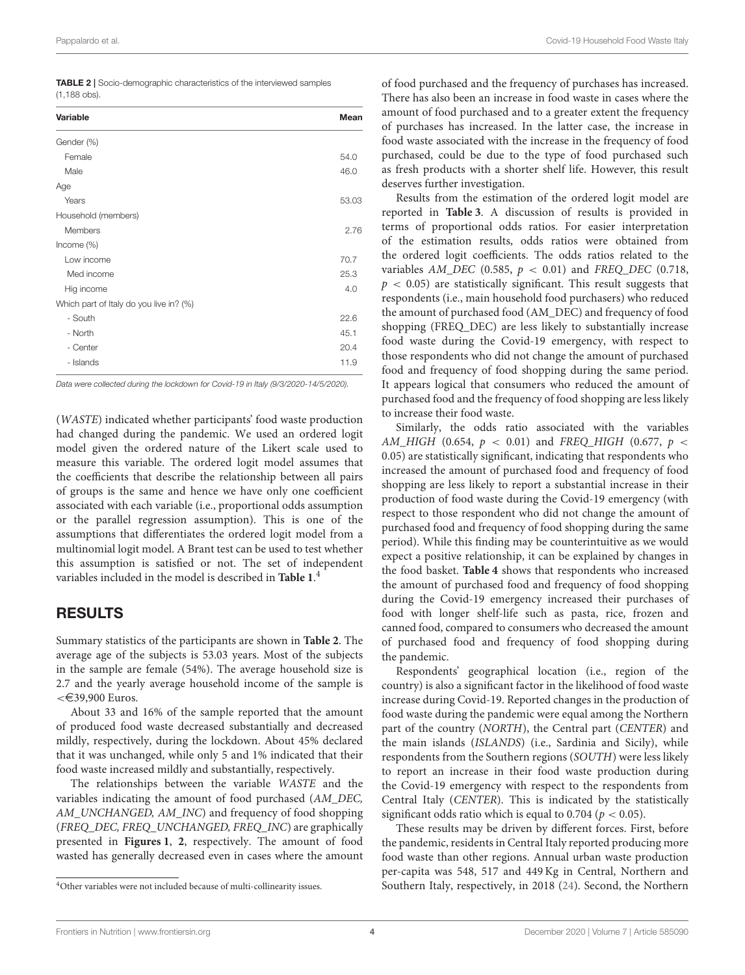| Covid-19 Household Food Waste Italy<br>Pappalardo et al. |  |
|----------------------------------------------------------|--|
|----------------------------------------------------------|--|

<span id="page-4-1"></span>

| <b>TABLE 2</b> Socio-demographic characteristics of the interviewed samples |  |
|-----------------------------------------------------------------------------|--|
| $(1.188$ obs).                                                              |  |

| Variable                                | Mean  |
|-----------------------------------------|-------|
| Gender (%)                              |       |
| Female                                  | 54.0  |
| Male                                    | 46.0  |
| Age                                     |       |
| Years                                   | 53.03 |
| Household (members)                     |       |
| <b>Members</b>                          | 2.76  |
| Income $(\%)$                           |       |
| Low income                              | 70.7  |
| Med income                              | 25.3  |
| Hig income                              | 4.0   |
| Which part of Italy do you live in? (%) |       |
| - South                                 | 22.6  |
| - North                                 | 45.1  |
| - Center                                | 20.4  |
| - Islands                               | 11.9  |

*Data were collected during the lockdown for Covid-19 in Italy (9/3/2020-14/5/2020).*

(WASTE) indicated whether participants' food waste production had changed during the pandemic. We used an ordered logit model given the ordered nature of the Likert scale used to measure this variable. The ordered logit model assumes that the coefficients that describe the relationship between all pairs of groups is the same and hence we have only one coefficient associated with each variable (i.e., proportional odds assumption or the parallel regression assumption). This is one of the assumptions that differentiates the ordered logit model from a multinomial logit model. A Brant test can be used to test whether this assumption is satisfied or not. The set of independent variables included in the model is described in **[Table 1](#page-3-1)**. [4](#page-4-0)

### RESULTS

Summary statistics of the participants are shown in **[Table 2](#page-4-1)**. The average age of the subjects is 53.03 years. Most of the subjects in the sample are female (54%). The average household size is 2.7 and the yearly average household income of the sample is  $<$   $\in$  39,900 Euros.

About 33 and 16% of the sample reported that the amount of produced food waste decreased substantially and decreased mildly, respectively, during the lockdown. About 45% declared that it was unchanged, while only 5 and 1% indicated that their food waste increased mildly and substantially, respectively.

The relationships between the variable WASTE and the variables indicating the amount of food purchased (AM\_DEC, AM\_UNCHANGED, AM\_INC) and frequency of food shopping (FREQ\_DEC, FREQ\_UNCHANGED, FREQ\_INC) are graphically presented in **[Figures 1](#page-5-0)**, **[2](#page-5-1)**, respectively. The amount of food wasted has generally decreased even in cases where the amount of food purchased and the frequency of purchases has increased. There has also been an increase in food waste in cases where the amount of food purchased and to a greater extent the frequency of purchases has increased. In the latter case, the increase in food waste associated with the increase in the frequency of food purchased, could be due to the type of food purchased such as fresh products with a shorter shelf life. However, this result deserves further investigation.

Results from the estimation of the ordered logit model are reported in **[Table 3](#page-6-0)**. A discussion of results is provided in terms of proportional odds ratios. For easier interpretation of the estimation results, odds ratios were obtained from the ordered logit coefficients. The odds ratios related to the variables  $AM\_DEC$  (0.585,  $p < 0.01$ ) and FREQ\_DEC (0.718,  $p < 0.05$ ) are statistically significant. This result suggests that respondents (i.e., main household food purchasers) who reduced the amount of purchased food (AM\_DEC) and frequency of food shopping (FREQ\_DEC) are less likely to substantially increase food waste during the Covid-19 emergency, with respect to those respondents who did not change the amount of purchased food and frequency of food shopping during the same period. It appears logical that consumers who reduced the amount of purchased food and the frequency of food shopping are less likely to increase their food waste.

Similarly, the odds ratio associated with the variables AM\_HIGH (0.654,  $p < 0.01$ ) and FREQ\_HIGH (0.677,  $p <$ 0.05) are statistically significant, indicating that respondents who increased the amount of purchased food and frequency of food shopping are less likely to report a substantial increase in their production of food waste during the Covid-19 emergency (with respect to those respondent who did not change the amount of purchased food and frequency of food shopping during the same period). While this finding may be counterintuitive as we would expect a positive relationship, it can be explained by changes in the food basket. **[Table 4](#page-7-0)** shows that respondents who increased the amount of purchased food and frequency of food shopping during the Covid-19 emergency increased their purchases of food with longer shelf-life such as pasta, rice, frozen and canned food, compared to consumers who decreased the amount of purchased food and frequency of food shopping during the pandemic.

Respondents' geographical location (i.e., region of the country) is also a significant factor in the likelihood of food waste increase during Covid-19. Reported changes in the production of food waste during the pandemic were equal among the Northern part of the country (NORTH), the Central part (CENTER) and the main islands (ISLANDS) (i.e., Sardinia and Sicily), while respondents from the Southern regions (SOUTH) were less likely to report an increase in their food waste production during the Covid-19 emergency with respect to the respondents from Central Italy (CENTER). This is indicated by the statistically significant odds ratio which is equal to 0.704 ( $p < 0.05$ ).

These results may be driven by different forces. First, before the pandemic, residents in Central Italy reported producing more food waste than other regions. Annual urban waste production per-capita was 548, 517 and 449 Kg in Central, Northern and Southern Italy, respectively, in 2018 [\(24\)](#page-9-23). Second, the Northern

<span id="page-4-0"></span><sup>4</sup>Other variables were not included because of multi-collinearity issues.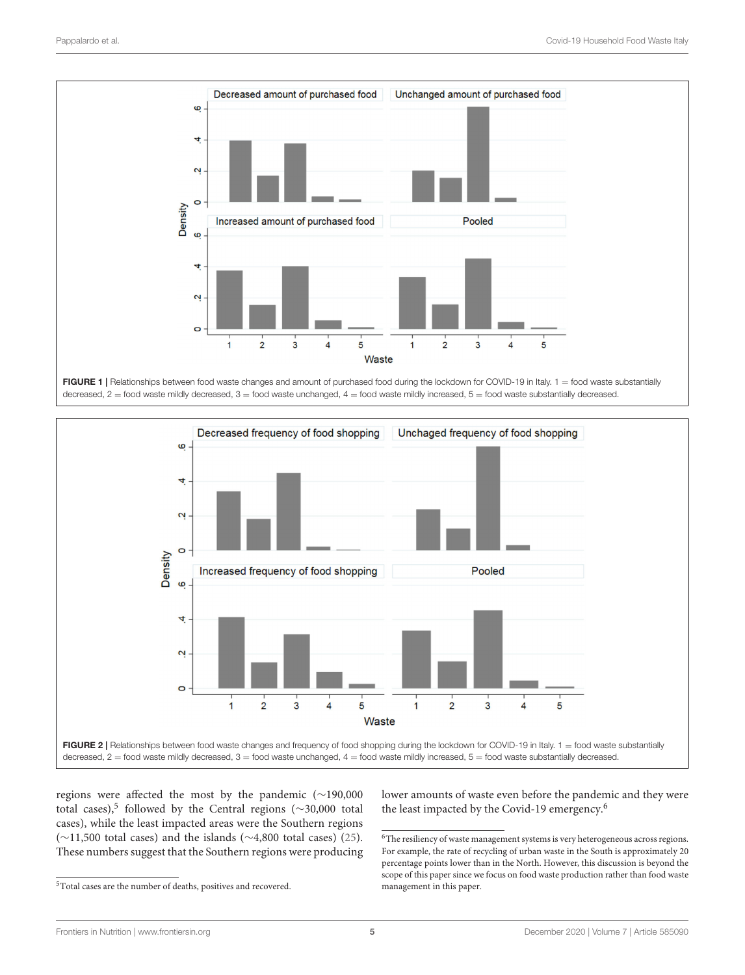

<span id="page-5-0"></span>FIGURE 1 | Relationships between food waste changes and amount of purchased food during the lockdown for COVID-19 in Italy. 1 = food waste substantially decreased, 2 = food waste mildly decreased, 3 = food waste unchanged, 4 = food waste mildly increased, 5 = food waste substantially decreased.



<span id="page-5-1"></span>regions were affected the most by the pandemic (∼190,000 total cases),[5](#page-5-2) followed by the Central regions (∼30,000 total cases), while the least impacted areas were the Southern regions (∼11,500 total cases) and the islands (∼4,800 total cases) [\(25\)](#page-9-24). These numbers suggest that the Southern regions were producing

<span id="page-5-2"></span> ${\rm ^5Total}$  cases are the number of deaths, positives and recovered.

lower amounts of waste even before the pandemic and they were the least impacted by the Covid-19 emergency.[6](#page-5-3)

<span id="page-5-3"></span> $^6\!$  The resiliency of waste management systems is very heterogeneous across regions. For example, the rate of recycling of urban waste in the South is approximately 20 percentage points lower than in the North. However, this discussion is beyond the scope of this paper since we focus on food waste production rather than food waste management in this paper.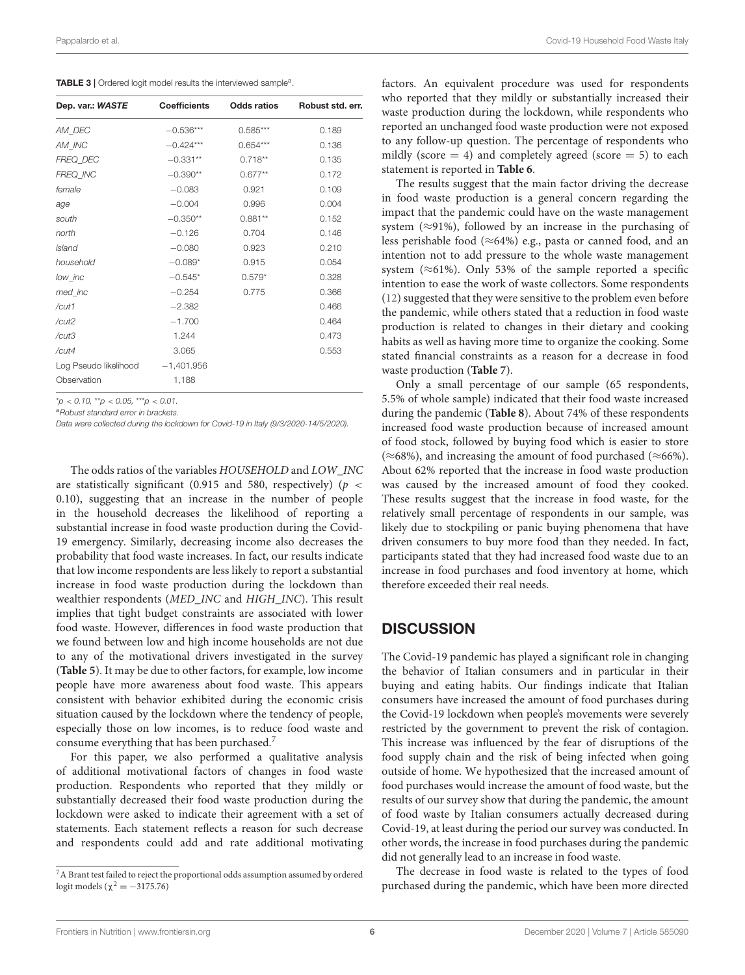<span id="page-6-0"></span>

| Dep. var.: WASTE      | <b>Coefficients</b> | <b>Odds ratios</b> | Robust std. err. |
|-----------------------|---------------------|--------------------|------------------|
| AM_DEC                | $-0.536***$         | $0.585***$         | 0.189            |
| AM_INC                | $-0.424***$         | $0.654***$         | 0.136            |
| FREQ_DEC              | $-0.331**$          | $0.718**$          | 0.135            |
| FREQ_INC              | $-0.390**$          | $0.677**$          | 0.172            |
| female                | $-0.083$            | 0.921              | 0.109            |
| age                   | $-0.004$            | 0.996              | 0.004            |
| south                 | $-0.350**$          | $0.881**$          | 0.152            |
| north                 | $-0.126$            | 0.704              | 0.146            |
| island                | $-0.080$            | 0.923              | 0.210            |
| household             | $-0.089*$           | 0.915              | 0.054            |
| low_inc               | $-0.545*$           | $0.579*$           | 0.328            |
| med_inc               | $-0.254$            | 0.775              | 0.366            |
| /cut1                 | $-2.382$            |                    | 0.466            |
| /cut2                 | $-1.700$            |                    | 0.464            |
| /cut3                 | 1.244               |                    | 0.473            |
| /cut4                 | 3.065               |                    | 0.553            |
| Log Pseudo likelihood | $-1,401.956$        |                    |                  |
| Observation           | 1,188               |                    |                  |

\**p* < *0.10,* \*\**p* < *0.05,* \*\*\**p* < *0.01.*

*<sup>a</sup>Robust standard error in brackets.*

*Data were collected during the lockdown for Covid-19 in Italy (9/3/2020-14/5/2020).*

The odds ratios of the variables HOUSEHOLD and LOW\_INC are statistically significant (0.915 and 580, respectively) ( $p \le$ 0.10), suggesting that an increase in the number of people in the household decreases the likelihood of reporting a substantial increase in food waste production during the Covid-19 emergency. Similarly, decreasing income also decreases the probability that food waste increases. In fact, our results indicate that low income respondents are less likely to report a substantial increase in food waste production during the lockdown than wealthier respondents (MED\_INC and HIGH\_INC). This result implies that tight budget constraints are associated with lower food waste. However, differences in food waste production that we found between low and high income households are not due to any of the motivational drivers investigated in the survey (**[Table 5](#page-7-1)**). It may be due to other factors, for example, low income people have more awareness about food waste. This appears consistent with behavior exhibited during the economic crisis situation caused by the lockdown where the tendency of people, especially those on low incomes, is to reduce food waste and consume everything that has been purchased.[7](#page-6-1)

For this paper, we also performed a qualitative analysis of additional motivational factors of changes in food waste production. Respondents who reported that they mildly or substantially decreased their food waste production during the lockdown were asked to indicate their agreement with a set of statements. Each statement reflects a reason for such decrease and respondents could add and rate additional motivating factors. An equivalent procedure was used for respondents who reported that they mildly or substantially increased their waste production during the lockdown, while respondents who reported an unchanged food waste production were not exposed to any follow-up question. The percentage of respondents who mildly (score  $= 4$ ) and completely agreed (score  $= 5$ ) to each statement is reported in **[Table 6](#page-7-2)**.

The results suggest that the main factor driving the decrease in food waste production is a general concern regarding the impact that the pandemic could have on the waste management system ( $\approx$ 91%), followed by an increase in the purchasing of less perishable food ( $\approx$ 64%) e.g., pasta or canned food, and an intention not to add pressure to the whole waste management system ( $\approx$ 61%). Only 53% of the sample reported a specific intention to ease the work of waste collectors. Some respondents [\(12\)](#page-9-11) suggested that they were sensitive to the problem even before the pandemic, while others stated that a reduction in food waste production is related to changes in their dietary and cooking habits as well as having more time to organize the cooking. Some stated financial constraints as a reason for a decrease in food waste production (**[Table 7](#page-7-3)**).

Only a small percentage of our sample (65 respondents, 5.5% of whole sample) indicated that their food waste increased during the pandemic (**[Table 8](#page-8-1)**). About 74% of these respondents increased food waste production because of increased amount of food stock, followed by buying food which is easier to store (≈68%), and increasing the amount of food purchased (≈66%). About 62% reported that the increase in food waste production was caused by the increased amount of food they cooked. These results suggest that the increase in food waste, for the relatively small percentage of respondents in our sample, was likely due to stockpiling or panic buying phenomena that have driven consumers to buy more food than they needed. In fact, participants stated that they had increased food waste due to an increase in food purchases and food inventory at home, which therefore exceeded their real needs.

### **DISCUSSION**

The Covid-19 pandemic has played a significant role in changing the behavior of Italian consumers and in particular in their buying and eating habits. Our findings indicate that Italian consumers have increased the amount of food purchases during the Covid-19 lockdown when people's movements were severely restricted by the government to prevent the risk of contagion. This increase was influenced by the fear of disruptions of the food supply chain and the risk of being infected when going outside of home. We hypothesized that the increased amount of food purchases would increase the amount of food waste, but the results of our survey show that during the pandemic, the amount of food waste by Italian consumers actually decreased during Covid-19, at least during the period our survey was conducted. In other words, the increase in food purchases during the pandemic did not generally lead to an increase in food waste.

The decrease in food waste is related to the types of food purchased during the pandemic, which have been more directed

<span id="page-6-1"></span><sup>7</sup>A Brant test failed to reject the proportional odds assumption assumed by ordered logit models ( $\chi^2 = -3175.76$ )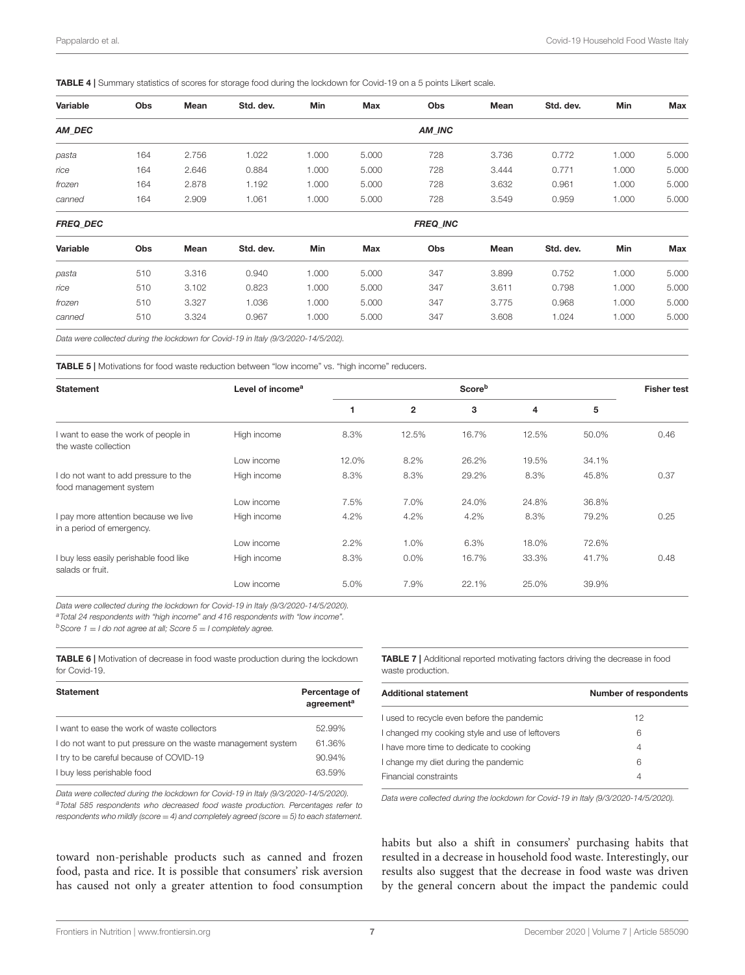<span id="page-7-0"></span>TABLE 4 | Summary statistics of scores for storage food during the lockdown for Covid-19 on a 5 points Likert scale.

| Variable        | Obs | Mean  | Std. dev. | Min   | Max   | Obs             | Mean  | Std. dev. | Min   | Max   |
|-----------------|-----|-------|-----------|-------|-------|-----------------|-------|-----------|-------|-------|
| AM_DEC          |     |       |           |       |       | AM INC          |       |           |       |       |
| pasta           | 164 | 2.756 | 1.022     | 1.000 | 5.000 | 728             | 3.736 | 0.772     | 1.000 | 5.000 |
| rice            | 164 | 2.646 | 0.884     | 1.000 | 5.000 | 728             | 3.444 | 0.771     | 1.000 | 5.000 |
| frozen          | 164 | 2.878 | 1.192     | 1.000 | 5.000 | 728             | 3.632 | 0.961     | 1.000 | 5.000 |
| canned          | 164 | 2.909 | 1.061     | 1.000 | 5.000 | 728             | 3.549 | 0.959     | 1.000 | 5.000 |
| <b>FREQ DEC</b> |     |       |           |       |       | <b>FREQ INC</b> |       |           |       |       |
| Variable        | Obs | Mean  | Std. dev. | Min   | Max   | Obs             | Mean  | Std. dev. | Min   | Max   |
| pasta           | 510 | 3.316 | 0.940     | 1.000 | 5.000 | 347             | 3.899 | 0.752     | 1.000 | 5.000 |
| rice            | 510 | 3.102 | 0.823     | 1.000 | 5.000 | 347             | 3.611 | 0.798     | 1.000 | 5.000 |
| frozen          | 510 | 3.327 | 1.036     | 1.000 | 5.000 | 347             | 3.775 | 0.968     | 1.000 | 5.000 |
| canned          | 510 | 3.324 | 0.967     | 1.000 | 5.000 | 347             | 3.608 | 1.024     | 1.000 | 5.000 |

*Data were collected during the lockdown for Covid-19 in Italy (9/3/2020-14/5/202).*

<span id="page-7-1"></span>TABLE 5 | Motivations for food waste reduction between "low income" vs. "high income" reducers.

| <b>Statement</b>                                                  | Level of income <sup>a</sup> |         | <b>Fisher test</b> |       |       |       |      |
|-------------------------------------------------------------------|------------------------------|---------|--------------------|-------|-------|-------|------|
|                                                                   |                              |         | $\mathbf{2}$       | 3     | 4     | 5     |      |
| I want to ease the work of people in<br>the waste collection      | High income                  | 8.3%    | 12.5%              | 16.7% | 12.5% | 50.0% | 0.46 |
|                                                                   | Low income                   | 12.0%   | 8.2%               | 26.2% | 19.5% | 34.1% |      |
| I do not want to add pressure to the<br>food management system    | High income                  | 8.3%    | 8.3%               | 29.2% | 8.3%  | 45.8% | 0.37 |
|                                                                   | Low income                   | 7.5%    | 7.0%               | 24.0% | 24.8% | 36.8% |      |
| I pay more attention because we live<br>in a period of emergency. | High income                  | 4.2%    | 4.2%               | 4.2%  | 8.3%  | 79.2% | 0.25 |
|                                                                   | Low income                   | $2.2\%$ | 1.0%               | 6.3%  | 18.0% | 72.6% |      |
| I buy less easily perishable food like<br>salads or fruit.        | High income                  | 8.3%    | $0.0\%$            | 16.7% | 33.3% | 41.7% | 0.48 |
|                                                                   | Low income                   | 5.0%    | 7.9%               | 22.1% | 25.0% | 39.9% |      |

*Data were collected during the lockdown for Covid-19 in Italy (9/3/2020-14/5/2020). <sup>a</sup>Total 24 respondents with "high income" and 416 respondents with "low income". <sup>b</sup>Score 1* = *I do not agree at all; Score 5* = *I completely agree.*

<span id="page-7-2"></span>TABLE 6 | Motivation of decrease in food waste production during the lockdown for Covid-19.

| <b>Statement</b>                                             | Percentage of<br>agreement <sup>a</sup> |
|--------------------------------------------------------------|-----------------------------------------|
| I want to ease the work of waste collectors                  | 52.99%                                  |
| I do not want to put pressure on the waste management system | 61.36%                                  |
| I try to be careful because of COVID-19                      | 90.94%                                  |
| I buy less perishable food                                   | 63.59%                                  |

*Data were collected during the lockdown for Covid-19 in Italy (9/3/2020-14/5/2020). <sup>a</sup>Total 585 respondents who decreased food waste production. Percentages refer to respondents who mildly (score* = *4) and completely agreed (score* = *5) to each statement.*

toward non-perishable products such as canned and frozen food, pasta and rice. It is possible that consumers' risk aversion has caused not only a greater attention to food consumption

<span id="page-7-3"></span>TABLE 7 | Additional reported motivating factors driving the decrease in food waste production.

| <b>Additional statement</b>                     | <b>Number of respondents</b> |
|-------------------------------------------------|------------------------------|
| I used to recycle even before the pandemic      | 12                           |
| I changed my cooking style and use of leftovers | 6                            |
| I have more time to dedicate to cooking         | 4                            |
| I change my diet during the pandemic            | 6                            |
| Financial constraints                           | 4                            |

*Data were collected during the lockdown for Covid-19 in Italy (9/3/2020-14/5/2020).*

habits but also a shift in consumers' purchasing habits that resulted in a decrease in household food waste. Interestingly, our results also suggest that the decrease in food waste was driven by the general concern about the impact the pandemic could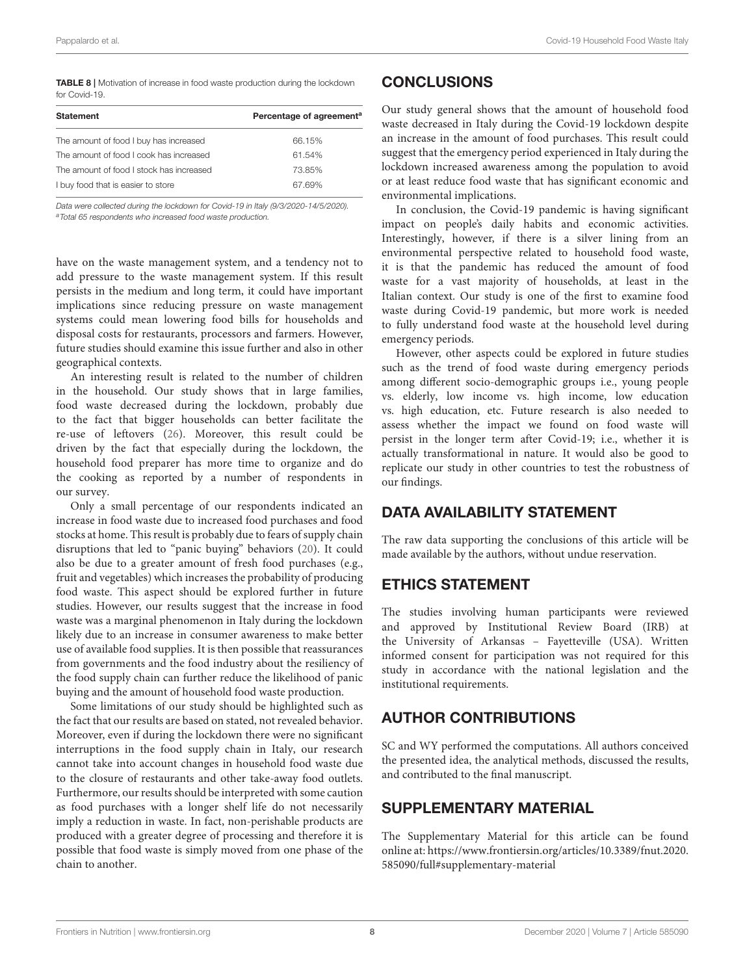<span id="page-8-1"></span>TABLE 8 | Motivation of increase in food waste production during the lockdown for Covid-19.

| <b>Statement</b>                         | Percentage of agreement <sup>a</sup> |
|------------------------------------------|--------------------------------------|
| The amount of food I buy has increased   | 66.15%                               |
| The amount of food I cook has increased  | 61.54%                               |
| The amount of food I stock has increased | 73.85%                               |
| I buy food that is easier to store       | 67.69%                               |
|                                          |                                      |

*Data were collected during the lockdown for Covid-19 in Italy (9/3/2020-14/5/2020). <sup>a</sup>Total 65 respondents who increased food waste production.*

have on the waste management system, and a tendency not to add pressure to the waste management system. If this result persists in the medium and long term, it could have important implications since reducing pressure on waste management systems could mean lowering food bills for households and disposal costs for restaurants, processors and farmers. However, future studies should examine this issue further and also in other geographical contexts.

An interesting result is related to the number of children in the household. Our study shows that in large families, food waste decreased during the lockdown, probably due to the fact that bigger households can better facilitate the re-use of leftovers [\(26\)](#page-9-25). Moreover, this result could be driven by the fact that especially during the lockdown, the household food preparer has more time to organize and do the cooking as reported by a number of respondents in our survey.

Only a small percentage of our respondents indicated an increase in food waste due to increased food purchases and food stocks at home. This result is probably due to fears of supply chain disruptions that led to "panic buying" behaviors [\(20\)](#page-9-19). It could also be due to a greater amount of fresh food purchases (e.g., fruit and vegetables) which increases the probability of producing food waste. This aspect should be explored further in future studies. However, our results suggest that the increase in food waste was a marginal phenomenon in Italy during the lockdown likely due to an increase in consumer awareness to make better use of available food supplies. It is then possible that reassurances from governments and the food industry about the resiliency of the food supply chain can further reduce the likelihood of panic buying and the amount of household food waste production.

Some limitations of our study should be highlighted such as the fact that our results are based on stated, not revealed behavior. Moreover, even if during the lockdown there were no significant interruptions in the food supply chain in Italy, our research cannot take into account changes in household food waste due to the closure of restaurants and other take-away food outlets. Furthermore, our results should be interpreted with some caution as food purchases with a longer shelf life do not necessarily imply a reduction in waste. In fact, non-perishable products are produced with a greater degree of processing and therefore it is possible that food waste is simply moved from one phase of the chain to another.

### **CONCLUSIONS**

Our study general shows that the amount of household food waste decreased in Italy during the Covid-19 lockdown despite an increase in the amount of food purchases. This result could suggest that the emergency period experienced in Italy during the lockdown increased awareness among the population to avoid or at least reduce food waste that has significant economic and environmental implications.

In conclusion, the Covid-19 pandemic is having significant impact on people's daily habits and economic activities. Interestingly, however, if there is a silver lining from an environmental perspective related to household food waste, it is that the pandemic has reduced the amount of food waste for a vast majority of households, at least in the Italian context. Our study is one of the first to examine food waste during Covid-19 pandemic, but more work is needed to fully understand food waste at the household level during emergency periods.

However, other aspects could be explored in future studies such as the trend of food waste during emergency periods among different socio-demographic groups i.e., young people vs. elderly, low income vs. high income, low education vs. high education, etc. Future research is also needed to assess whether the impact we found on food waste will persist in the longer term after Covid-19; i.e., whether it is actually transformational in nature. It would also be good to replicate our study in other countries to test the robustness of our findings.

### DATA AVAILABILITY STATEMENT

The raw data supporting the conclusions of this article will be made available by the authors, without undue reservation.

### ETHICS STATEMENT

The studies involving human participants were reviewed and approved by Institutional Review Board (IRB) at the University of Arkansas – Fayetteville (USA). Written informed consent for participation was not required for this study in accordance with the national legislation and the institutional requirements.

### AUTHOR CONTRIBUTIONS

SC and WY performed the computations. All authors conceived the presented idea, the analytical methods, discussed the results, and contributed to the final manuscript.

### SUPPLEMENTARY MATERIAL

<span id="page-8-0"></span>The Supplementary Material for this article can be found [online at: https://www.frontiersin.org/articles/10.3389/fnut.2020.](https://www.frontiersin.org/articles/10.3389/fnut.2020.585090/full#supplementary-material) 585090/full#supplementary-material